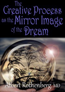# Creative Process as the Mirror Image

## Albert Rothenberg, MD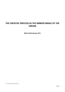### **THE CREATIVE PROCESS AS THE MIRROR IMAGE OF THE DREAM**

**Albert Rothenberg, M.D.**

www.freepsychotherapybooks.org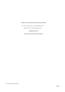#### e-Book 2016 International Psychotherapy Institute

From *The Emerging Goddess* by Albert Rothenberg, M.D.

Copyright © 1979 by Albert Rothenberg, M.D.

All Rights Reserved

Created in the United States of America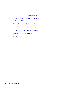**Table of Contents**

THE CREATIVE PROCESS AS THE MIRROR IMAGE OF THE DREAM

Dreams and [Creativity](#page-4-1)

The [Mirror-Image](#page-9-0) Relationship: Similarity and Reversal

Creative Process as the [Psychological](#page-10-0) Obverse of Dreaming

Creative Process as the Biological Obverse of [Dreaming](#page-14-0)

The Role of [Arousal](#page-17-0) : Anxiety and Control

Creativity and [Dreaming](#page-20-0) in Society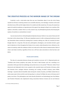#### <span id="page-4-0"></span>**THE CREATIVE PROCESS AS THE MIRROR IMAGE OF THE DREAM**

Creativity is such a value-laden topic that any new formulation about it runs the risk of being rejected out of hand. Creativity pertains to art, scientific discovery, even theology; it touches on the most cherished areas of life and the highestideals. Itis exalted and often mysterious. For many, the mysterious aspect of creativity constitutes an important part of its appeal. Any attempt to dispel even a portion of the mystery is, therefore, resisted. There is, in fact, reason to say, on philosophical grounds, that denying the mystery of creativity is a contradiction in terms. $^{\underline{1}}$  $^{\underline{1}}$  $^{\underline{1}}$ 

<span id="page-4-2"></span>I am not concerned here with philosophical objections because I believe I can answer them and will do so later in this volume (chap. 12). My more immediate concern is with a widespread tendency to resist any formulation about creativity by insisting that it contains nothing new. After all, creativity has been thought about for a long time. Not only have philosophers, theologians, and scientists devoted a good deal of attention to it but, throughout the history of art, creative artists themselves have reflected on the nature of creativity, within the substance of their art works and in other forms of communication. Much of what is said about creativity, regardless of how new, will have some connections to what has been said before.

#### <span id="page-4-3"></span>**Dreams and Creativity**

<span id="page-4-1"></span>The idea of a connection between dreams and creativity is not new. As V. G. Hopwood points out: "Tradition joins dream, prophecy and poetry. The bard is both dreamer and seer, according to an association which goes back into mythology and persists into our own period."<sup>[2](#page-23-1)</sup> Moreover, before Freud discovered and elaborated what is now accepted as the essential nature and function of dreams, artists and theorists drew analogies between dreaming and creating. So-called visionary poets—Blake, Coleridge—reported altered dreamlike states during the creation of poetry, and Blake insisted that an entire poem came to him word-for-word during sleep in a dream. For Blake, the source of dreams and of poetry was divine. The philosophers and critics Novalis (Friedrich von Hardenberg), Jean Paul Richter, and Friedrich Nietzsche also emphasized strong connections between dreams and art and between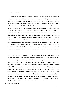#### <span id="page-5-0"></span>dreams and creativity.<sup>[3](#page-23-2)</sup>

<span id="page-5-1"></span>After Freud described wish fulfillment in dreams and the mechanisms of condensation and displacement, and developed the complete theory of primary process thinking as a form of mentation sharply distinct from the logical or secondary process thinking in waking life, a widespread interest in relating creativity and art to dreams developed. $\frac{4}{7}$  $\frac{4}{7}$  $\frac{4}{7}$ The most elaborate early study was Marie Bonaparte's analysis of the life and works of Edgar Allan Poe. Making the explicit assumption that dream processes such as condensation and displacement operated directly in art, Princess Bonaparte related Poe's major themes and symbols to events and personages in his life. In Poe's story "The Black Cat," for example, she proposed that the author's mother was represented in several characterizations: the slayer's wife, the cat Pluto, and the second cat. Spelling out the analysis of the artistic work as equivalent to the dream, she stated the following: "Through *displacement,* the psychic emphasis that belongs to the mother is shifted on the unrecognizable cats or on the murderer's anonymous wife. Through *condensation,* in each of these three protagonists, the poet's mother Elizabeth has been fused with Virginia his wife and, what is more, has incorporated Catterina, Poe's cat, in two of them."<sup>[5](#page-23-4)</sup> Other psychoanalysts became deeply interested in the symbolic content of art, both literary and visual art, and ingenious interpretations of artistic symbols, modeled after the interpretation of the symbolic content of dreams, abound in psychoanalytic writings.  $\stackrel{6}{=}$  $\stackrel{6}{=}$  $\stackrel{6}{=}$ 

<span id="page-5-5"></span><span id="page-5-4"></span><span id="page-5-3"></span><span id="page-5-2"></span>Freud himself made some tentative connections between the dream processes he had discovered and the creative process in art, although he purposely shied away from any overall formulations about creativity. Emphasizing the important role of daydreaming or fantasy in the creation of poetry and other types of fiction, $\bar{Z}$  he pointed out that daydreams, like dreams occurring during the night, were motivated by unfulfilled wishes. Though daydream wishes were decidedly egoistic and therefore socially unacceptable, they were often not subject to the same degree of distortion as the personally unacceptable wishes of dreams. In creating literature, the manifestly egoistic or wish-fulfilling daydreams were, according to Freud, softened by the artist through the disguises and changes produced by formal aesthetic devices. The specific nature of the artist's disguises or the psychological properties of these formal aesthetic devices were never spelled out by Freud. But with respect to the production of jokes, a matter indirectly connected to the production of art, he suggested that the dream mechanisms of condensation and displacement played a direct role.<sup>[8](#page-23-7)</sup> Jokes, like dreams, contained unconscious material disguised by the primary process mechanisms of condensation and displacement.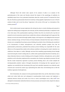<span id="page-6-0"></span>Although Freud did extend some aspects of his analysis of jokes to an analysis of the psychodynamics of the comic and thereby entered the domain of the psychology of aesthetics, he steadfastly stayed clear of any systematic formulation about the creative process. [9](#page-23-8) It remained for Ernst Kris, the illustrious psychoanalytic theorist of creativity, to bring together implications he saw in Freud's analysis of jokes and to coin the phrase "regression in the service of the ego" as a description of the creative process.<sup>[10](#page-23-9)</sup>

<span id="page-6-1"></span>Kris's widely touted concept emphasizes the daring free play in creative thinking and purports to explain the striking leaps of imagination, the intensity, and the emotional profundity in completed works of art. Like many of the psychoanalysts exploring art before him, Kris was struck by the way that art seemed to reveal unconscious material more readily than ordinary waking thought and it appeared, like dreams, to reveal such material through symbols,images, vivid sequences, and ambiguities that conveyed intense emotional charge. As Freud's theory of dream formation indicated that these types of effects in dreams were accomplished by primary process thinking, the primitive form of thinking also considered to be characteristic of infants, schizophrenics, and culturally primitive peoples, Kris, like his psychoanalytic predecessors, postulated that primary process thinking was responsible for the same effects in art. He proposed that, similar to the ordinary condition in dreaming, the creator's attention was withdrawn from objects in reality. Although convinced that something approximating dream thought occurred during the creator's waking state, he, unlike earlier psychoanalytic theorists of creativity, saw a sharp distinction between creative thinking and the thought of children, schizophrenics, and so-called primitives, and he therefore emphasized the concomitant role of mature ego adaptive processes. He said that the creator *temporarily* regressed to primary process thinking; that is, the creator adopted the developmentally primitive modes of thought characteristic of dreaming but this regressed type of cognition was controlled by the functioning of the ego. Such controlled regression was relatively easily reversed and it served the creator's ego, replenishing him rather than overwhelming him as with the insidious regression of schizophrenia.

<span id="page-6-2"></span>Kris's formulation, the analyses of art by psychoanalysts before him, and the observations of many artists and writers both prior and subsequent to psychoanalysis clearly assume and emphasize a similarity between dreams and works of art. Even in music, musicologists such as Max Graf $^{\underline{11}}$  $^{\underline{11}}$  $^{\underline{11}}$  have attempted to demonstrate similarities between dream processes and musical works, despite the absence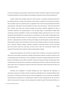<span id="page-7-0"></span>of visual and linguistic representations characteristic of dreams. Scientific creation has also been linked to dreaming, despite the ordered, logical and seemingly unemotional content of those productions. $^{\underline{12}}$  $^{\underline{12}}$  $^{\underline{12}}$ 

Another widely held conception about the creative process, a conception pertaining indirectly to the similarity between creating and dreaming, is that creation is largely due to unconscious processes. This conception, again, has primarily been an outgrowth of the work of the psychoanalysts. But before psychoanalysis—long before Freud formulated his notion of the Unconscious—artists had denied that their creations came solely from conscious thought and therefore implicitly suggested this type of conception themselves. For psychoanalysts, in fact, the high degree of psychological insight about unconscious processes embodied in works of art throughout history supported the same view. Freud consistently acknowledged his own great debt to art and literature for the wealth of psychological truth and knowledge contained therein. On several occasions, he insisted that he personally had merely achieved a systematization of artistic and literary knowledge accrued through the centuries before him. Psychoanalytic studies of art and literature by Freud and his disciples seemed to reveal the dynamisms seen in patients—Oedipus complex, repetition compulsion, separation anxiety—and the conviction grew that creative artists have some type of direct access to their own unconscious contents while creating. This conviction haspersisted in modern psychoanalytic writings.

Among artists themselves, the idea that art consists of the revelation of unconscious material has influenced several modern movements, including: expressionism, dadaism, surrealism, and beat as well as confessional poetry and literature. Such a conception of art has been adopted fully by the beat writers Kerouac and Ginsberg as well as others who follow a model of writing out virtually everything that comes into their minds, in the style of free association in psychoanalysis. For these writers, the closer they could come to their inner or unconscious worlds, the closer they could come to truth. And truth, for them, was synonymous with art.

<span id="page-7-2"></span><span id="page-7-1"></span>Scientists and investigators of scientific thinking also have emphasized the importance of unconscious processes in scientific creation and discovery although they have sometimes differed about the manner in which these processes operate. Poincare thought there was an unconscious or subliminal self that played an important role in mathematical creation.<sup>[13](#page-24-0)</sup> Cannon emphasized the role of what he called "extra-conscious" processes in the development of scientific hunches.<sup>[14](#page-24-1)</sup> And Graham Wallas, in a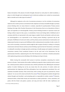<span id="page-8-0"></span>famous description of the phases of creative thought, discussed an early phase he called incubation, a phase in which thought went underground and, he believed, problems were worked on unconsciously both in scientific and in other types of creation. [15](#page-24-2)

Although the emphasis on the role of unconscious processes or on the revelation of unconscious material in the creative process is notidentical to the emphasis on dreams, dreamlike thought, orprimary process thinking, there are many features in common, especially for psychoanalysts. Primary process thinking is the logic of the Freudian Unconscious. In the Unconscious, there are no boundaries of time or space and opposites are interchangeable. Primary process thinking functions to represent events and feelings without respect to time, space, or contradiction. Events and feelings both of childhood and of everyday adult life are represented in the same image or symbol. Church and boudoir, earth and water, are interchangeable or are represented as one. Primary process thinking is governed only by the principle of fulfillment of needs and wishes, and the primary process mechanisms of condensation and displacement function to express such fulfillment while evading internal censorship. In other words, if it were not for censorship, unconscious contents might be able to appear directly in waking or in sleeping consciousness (dream). Because primary process thinking is governed by the Unconscious, and because in waking life censorship is strongly operative, producing a virtually opaque and complete covering over unconscious contents, Freud considered dreams to be the royal road to the Unconscious. For the psychoanalyst, therefore, emphasizing the role of the Unconscious in creativity is virtually synonymous with emphasizing primary process thinking or the thinking occurring in dreams.

<span id="page-8-2"></span><span id="page-8-1"></span>Before leaving this necessarily brief account of previous conceptions connecting the creative process to dreams, I must mention that another traditional perspective about creativity tends to connect non- rational processes, similar to unconscious ones, with the production of art. Affirming the nonrational quality of creative thinking has not by any means been the sole province of creative artists and psychoanalysts, but, beginning with Plato, philosophers have also emphasized nonrational, free, and sometimes dreamlike functions. Plato avowed that, while creating, the poet was possessed by "divine madness"; he was out of his mind and bereft of his senses.<sup>[16](#page-24-3)</sup> Kant distinguished aesthetic thought from rational thought and described a soul-animating spirit as responsible for artistic creation.<sup>[17](#page-24-4)</sup> Nietzsche, mentioned before, related both dreams and intoxication to artistic production—vision, association, and poetry with the former and gesture, passion, and song and dance with the latter. Apollonian and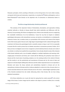Dionysian principles, which according to Nietzsche are the driving forces of art and artistic creation, correspond with dream and intoxication, respectively, in everyday life.<sup>[18](#page-24-5)</sup> Modern philosophers, such as Brand Blanshard,<sup>[19](#page-24-6)</sup> insist directly on the important role of unconscious or subconscious factors in creation.

#### <span id="page-9-2"></span><span id="page-9-1"></span>**The Mirror-Image Relationship: Similarity and Reversal**

<span id="page-9-0"></span>This summary of the impressive history of formulations, descriptions, and approaches relating creativity indirectly or directly to dreams should help clarify similarities and differences with the discovery I am presenting. All of these investigations have, I believe, been basically correct in recognizing the remarkable truthfulness of art. By truthfulness, I mean the way that art depicts or embodies psychological phenomena with extraordinary accuracy, not merely as verisimilitude or as imitating the elements of nature, but, in modern terms, as a presentation of the structure and content of the deepest levels of the human psyche. Because such a high degree of psychological truth is attained through artistic creativity (I will discuss the psychological truth in scientific creation in chaps. 6 and 13) it is reasonable to assume that the creative process has an intimate connection to unconscious processes. Further, all of these previous investigators seem to have recognized a *formal* similarity between dreams and works of art, whether or not they have spelled this out specifically. I have already alluded to some of the elements of this formal similarity such as use of symbols, ambiguity or multiple implication and meaning, wideranging types of structures and forms, and I would add the following: the primarily visual nature of dreams and the visual nature of painting, sculpture, etc.; the seeming novelty in the content of dreams and the novelty in art; the particularity and concreteness of dreams and art; the sense of story and sequence in dreams despite shifting time references and the similar sequential sense in art, especially in literature and music; the sharp contrasts and contradictions depicted in dreams and art; the extraordinary vividness of dreams and the vividness embodied in works of art. Also, of course, there is a crucial connection between the content of dreams and art: the sense—acknowledged explicitly by some of the theorists mentioned but also tacitly influencing others—that dreams, like art, have strong emotional connotations.

<span id="page-9-3"></span>All of these similarities are, in part, the basis for saying that the creative process $\frac{20}{3}$  $\frac{20}{3}$  $\frac{20}{3}$  is the mirror image of the dream. A mirror image must be similar to the object or process it reflects, but a crucially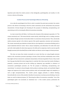important point about the creative process is that, biologically, psychologically, and socially, it is the reverse or obverse of dreaming.

#### **Creative Process as the Psychological Obverse of Dreaming**

<span id="page-10-0"></span>Let us take the psychological level first in order to consider the point more precisely: the creative process is the obverse of dreaming in that the creator consciously uses the mechanisms and processes characteristic of dream thought and dreaming for the purposes of abstracting, conceptualizing, and concretizing as well as reversing the effects of unconscious censorship.

As a key to much that will follow, I will discuss the elements of this statement separately. (1) "The creator consciously uses": This means that the creator actively, with full logic, and in a waking, conscious state employs thought processes structurally similar to unconscious dream processes. Thus, structurally similar processes operate in the obverse aspects of the psychic apparatus, conscious and unconscious. The creator consciously pays attention to factors that are also important in unconscious thinking such as sound similarities between words—that is, rhyme, homophony, and alliteration. He works with visual and with verbal symbols. He alters time sequences. He shifts and he compresses. And he uses two specific thought processes (to be described) that are both similar and obverse, mirror images, to dream processes.

This does not mean that creators necessarily are aware that they are using thought processes similar to the unconscious processes operating in dreams. If they had been traditionally aware of this, they might well have discovered a systematic interpretation of dreams long before Freud, or they would have long ago described this mirror-image factor in creativity. But it does mean that creative thinking is primarily a conscious process and not the welling up—temporary, ego controlled, or whatever—of unconscious psychological processes. (2) "For the purpose of abstracting, conceptualizing, and concretizing": In contrast to dream thought, which produces confusing, chaotic, and manifestly illogical images and sequences, the creative process produces order and meaningful images and metaphors, as well as tight conceptualizations. The creative person engages primarily in abstract thinking, hierarchically the reverse of the primitive literality of unconscious or primary process thinking. Concrete forms are used for abstract purposes. (3) "Reversing the effects of unconscious censorship": One of the psychological goals—not necessarily an intentional one— of the creative process, particularly the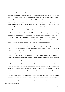creative process in art, is reversal of unconscious censorship. Not a matter of mere catharsis, the expression and purgation of highly charged or forbidden emotional contents, there is an active unmasking and structuring of unconscious thoughts, feelings, and motives. Unconscious material is shaped and integrated into the resulting creation and, for the creator, some degree of awareness or personal insight usually occurs. This reversal of censorship accounts for the high preponderance of unconscious material in artistic creations, one of the factors contributing to the intrinsic value of art. In other types of creation, where integration of unconscious material into the product is of lesser, or of minor,importance, reversal of censorship primarily serves a function for the creator himself.

Reversing censorship is a direct result of the creator's conscious use of particular mirror-image processes. Used consciously, these processes tend to reveal unconscious material rather than to conceal and to distort, major features of the function of their primary process counterparts in dreaming. The structural reversal and similarity between the conscious mirror-image processes and the unconscious primary process counterparts are the properties responsible for the unmasking effect.

As the mirror image of dreaming, creative cognition is adaptive, progressive, and pervasively logical. It is not pervasively logical in the strict Aristotelian sense, though the creator constantly uses traditional types of Aristotelian logic along with the mirror-image processes, but logical in the sense that creative thinking is rooted in reality, and is clear about distinctions and similarities. It is capable of, and often permeated with, highly abstract formulations. According to a psychoanalytic model of thought, the mirror-image type of cognition must be considered an advanced type of secondary process rather than primary process functioning.

Because of the similarities between creativity and dreaming, previous investigators have erroneously considered creative thought processes to be identical with the primary process mechanisms responsible for dreams. Because unconscious material appears in art to a strikingly high degree, investigators have assumed that artists characteristically experience some type of altered state of consciousness in which there is direct access to unconscious material. They have assumed short and temporary or longer lasting states where so-called primitive thinking holds sway. Influenced by and in accord with Kris, most psychoanalytic investigators believe that critical thinking and other forms of secondary process cognition follow such states rapidly, or even after a time lag, and function to modify or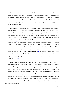transform the products of primary process thought. But if we link the creative process to the primary process or to a state where there is direct access to unconscious material, the core of creative thinking becomes a reversion to childlike, primitive, or psychotic modes of thought. Though Kris and others have recognized some of the adaptive features of the creative process, especially the adaptive nature of its results, the concept "regression in the service of the ego" tends to emphasize the primary process or regressive mode of thought.

<span id="page-12-1"></span><span id="page-12-0"></span>Many efforts have been made to remove the pejorative sting of this assumption about regression to primary process thinking. Temporary regression, Kris argued, also occurs in sleep and in sexual orgasm.<sup>[22](#page-24-8)</sup> Therefore, it could be considered a type of recharging mechanism necessary for mature functioning. Another approach has been to recast the basic psychoanalytic notion of primary process thinking or to propose other formulations of the way in which primary process thinking operates in creativity. A recent notable attempt to revise the classical conception of primary process was carried out by Pinchas Noy.<sup>[23](#page-24-9)</sup> Noy argued that primary process thinking undergoes progressive development throughout life and functions side by side with secondary process rational thought in adult waking life. Primary and secondary process thought are therefore only distinguished because of having different functions. Formulations emphasizing the expansion of ego boundaries in creativity $^{\underline{24}}$  $^{\underline{24}}$  $^{\underline{24}}$  or the creative process as connected to Winnicott's transitional phenomena<sup>[25](#page-24-11)</sup> are attempts to relate primary process thinking to adaptation and maturation. Arieti's formulation of a tertiary process mode of thought, the "appropriate matching" of "primitive forms of cognition" with secondary process mechanisms, is another instance of this type.<sup>[26](#page-24-12)</sup>

<span id="page-12-4"></span><span id="page-12-3"></span><span id="page-12-2"></span>All of the attempts to recast the concepts of the primary process or of regression, or of the role of the primary process in creativity arise from a recognition of the essential difficulty in postulating a causal, unitary, or homologous connection between creativity and the Unconscious or between creativity and dreams. There is an intrinsic disjunction between the adaptive, primarily ordering, and revelatory processes characteristic of creative thought and the primitive, primarily disruptive, and obfuscating primary processes functioning in dreams. In psychoanalysis, some of the disjunction and the pejorative quality of the theories linking creativity to the primary process can be traced directly to Freud. Although highly respectful of creative artists and of the creative process, Freud had a decided tendency to overvalue language and to consider any form of visual thinking as primitive, and therefore regressive.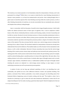<span id="page-13-0"></span>This tendency was clearly operative in his formulations about the interpretation of dreams, and it also permeated his writings.<sup>[27](#page-24-13)</sup> While there is no reason to doubt that the visual thinking characteristic of dreams is more primitive—or, at least, less communicative and precise—than waking thought, there is good reason to insist that aspects of the visual thinking occurring within the creative process, as well as other thinking characteristic of creativity, are not only not primitive but are consistently more advanced and adaptive than ordinary waking thought.

Later, in connection with the discussion of specific mirror-image thought processes, I shall clarify further the abstract advanced nature of these types of cognition. Now, I want to emphasize another feature of the obverse relationship between creation and dreaming, namely, reversal of censorship and its effect on anxiety. Structural reversal of primary process, or dream censorship mechanisms involves a reversal of their functions and effects. Where primary process operations allow distorted expression of unconscious material, operations mirroring these processes produce a degree of revelation of the actual nature of the material. This does not mean that the creator uses a mirror-image process to interpret the meaning of his or others' dreams. The functional method for interpretation of dreams has already been elaborated by Freud and his followers. That method makes use of the dreamer's direct associations to the dream, as well as other information. Reversal of dream censorship does mean that the mirror-image thinking of the creative process retraces steps and pathways also traversed by the primary process. The starting point of the creative process could include dream content: the poet starting a poem, for example, could be actively thinking about a manifest portion of a dream of the night before. But more often, it has nothing whatever to do with an actual dream; it includes other types of thought content such as words, concepts, vague emotions, remembered scenes, or mathematical symbols. Such types of thought content initiating the process are subjected to a mirror-image process tending, in some degree, to reveal underlying unconscious (as well as preconscious) preoccupations.

A patient of mine not too long ago indicated something of what I am describing here and, incidentally, also spelled out one of the differences between creative and psychotic thinking. This patient, a seriously ill but, I believe, potentially a very creative young girl, was describing some of her frustrated efforts at beginning a piece of creative writing, and she said: "The trouble is, when I try to describe her [referring to a girl to whom she had some homosexual attachment] I realize that I'm not simply describing her but I'm really revealing a good deal about myself. I think I'm frightened to find out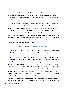the things about myself I might reveal." Psychotic thinking per se lacks any features of progressive or structured insight. Results of some experimental procedures with creative (research) subjects supporting this formulation of reversal of censorship with its concomitant instigation of anxiety will be presented in the final chapter of this book.

As the creative process progresses, censorship is increasingly reversed and the creative person experiences increasing anxiety. Opposite to the dream function of keeping the dreamer asleep and consequently expressing forbidden wishes in disguised form to avoid anxiety, the creative process functions to stimulate the anxiety of the wide-awake creator. $\frac{28}{3}$  $\frac{28}{3}$  $\frac{28}{3}$  This function is not adventitious to creativity, but is intrinsic to its goal. Both the goal and the method of the creative process involve mirrorimage relationships with dreaming. The function of increasing anxiety, as I shall discuss shortly, contributes to the value achieved within the creative process, particularly the process of artistic creation. And increasing anxiety alsopertains to what might be called the creative impulse, a term that brings us to a consideration of the biological functions of creativity.<sup>[29](#page-25-1)</sup>

#### <span id="page-14-2"></span><span id="page-14-1"></span>**Creative Process asthe Biological Obverse ofDreaming**

<span id="page-14-3"></span><span id="page-14-0"></span>The biological functions of creativity are also the reverse of the biological functions of dreaming. Like sleep, dreaming seems to appear fairly early on the evolutionary scale and there is reason to believe that both sleep and dreaming are necessary to life. Relatively recent research, for example, has demonstrated that rather simple animals seem to dream, and it has been postulated that dreaming is not only the guardian of sleep, as Freud said, but that it serves a crucial type of biological discharge function.<sup>[30](#page-25-2)</sup> In any event, dreaming is a spontaneous involuntary process and, unlike creativity, it is suppressed with difficulty, if indeed it can be suppressed at all. Although it could be argued—weakly, I believe—that it is also impossible to suppress human creativity, taking human beings as an aggregate, creativity clearly is quite fragile and rather easily suppressed in individuals. Indeed, one of the cardinal issues about creativity is that the converse is markedly apparent; it is difficult, if not impossible, to stimulate creativity. Creativity appeared fairly late in human evolution. Although one could possibly consider man's first construction of tools or his first use of language as creative acts, it is difficult to discuss creativity as we conceive of it today prior to the time of the first cave drawings. In all likelihood, creativity could not become manifest in human affairs until some amount of leisure time was available. Also, man's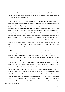brain surely needed to evolve to a point where it was capable of creative activity. In both circumstances, creativity could not be an automatic spontaneous activity like dreaming, but intentional, even arduous, application and invocation were required.

Dreaming is an involuntary biological activity while creativity must be invoked, an aspect of the obverse relationship between dreams and creativity. Only when considering human beings in the aggregate could it possibly be argued that the creative impulse was a spontaneous involuntary outgrowth of social functioning. From the viewpoint of the individual creator, however, the thought processes and acts leading to a creation must always be intentionally invoked. This is simply saying that creating is always motivated, strongly so in fact. Though there are times during the creative process when thought seems to flow spontaneously and effortlessly, even to approach some type of automaticity, the reverse characteristically is the case. Extreme effort and definite conscious application and intention characterize the creative process more than other types of cognitive activity. This automatic phase resembling the automatic quality of dreams always follows effort, whereas on the other hand spontaneous and automatic dream activity may often instigate effort because of a push toward understanding, curiosity, or anxiety.

Why did human beings begin to invoke creative processes? Are there biological reasons for individuals to engage voluntarily in creative activity unconnected to the psychological motivation to produce something with important social value? A complete answer is not currently available, but one clear reason seems to be the biological factor of *arousal,* the intensification and activation of physiological processes. While engaging in the creative process, the creator is stimulated and aroused. Though this arousal occurs in different ways, one manifestation is readily apparent on superficial observation of persons while they are creating. While painting, an artist is clearly highly stimulated; he is hypersensitive and hyper alert. Easily bothered by the slightest interruption or distraction, he appears to be carried along by the impetus of the project. As he progresses in his work, enormous reserves of energy appear, energy that was not available at the beginning. He does not, in other words, necessarily begin his day's work with a good deal of energy—my creative writer subjects, for example, report that they usually take a long time to "warm up" before they get into their creative work—and energy is generated by engaging in the creative process itself. Partly because of this hyper alert and aroused state, most creative people require solitude to carry out their work. There are other reasons for the solitude as well, such as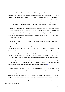concentration and internalized communication, but it is strongly plausible to assume that solitude is required because of arousal. Solitude not only facilitates concentration on difficult intellectual work, but it is needed because of the irritability and intensity of the hyper alert and aroused state. The temperamental artist who flies into a fury when frustrated or distracted is a caricature, but it is a caricature based on an intrinsic difference between the creative process and other types of intellectual work. A major reason for this difference is the high degree of anxiety generated by creative activity.

<span id="page-16-0"></span>Biologically, this anxiety is an aspect of the protective state of physiological readiness engendered by internal or external threat. This internal and external threat in creative activity is, paradoxically, produced by the creator himself; he engages in a process of unearthing<sup>[31](#page-25-3)</sup> unconscious material and seeking the internal and external new and unknown. These factors, as well as others, engender anxiety and a protective state of alertness.

Dreaming and creativity, therefore, function in reverse biological directions. While dreaming functions to keep the dreamer asleep, the creative process functions to arouse and alert the creator. On a biological continuum from sleep to wakefulness, the creative process operates at the wakefulness end. It functions to keep the creator awake. It is no accident, I believe, that we, the appreciators of art and literature, speak figuratively of "having our eyes opened," "being waked up" by a book or painting or musical work, or being aroused. Our figurative language is derived from a subjective perception of the biological nature of creativity. The creator's own arousal ispreserved in the product he creates. When the full biological story of creativity is told, I believe that factors involving the reticular activating system of the brain, the system responsible for biological arousal and activation, will be demonstrated. Berlyne, whose work is discussed at some length in the final chapter, has already shown some connections between the reticular activating system and the experience of aesthetic pleasure. $\frac{32}{2}$  $\frac{32}{2}$  $\frac{32}{2}$ 

<span id="page-16-1"></span>Among animals, birds, insects, and plants, the closest thing to art in human terms is the decorative coloring or intricate sound patterns that play a role in the propagation of the species. Among animals, birds, and insects, the male's decorative colors attract the female for fertilization, and musical mating sounds and calls are used in many species. Among plants, decoration is not sex-related hut functions to attract insects, who help facilitate plant fertilization. While animals, birds, insects, and plants certainly do not create their own decorations or mating calls in any way analogous to human creating, these attributes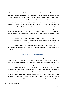<span id="page-17-1"></span>indicate a widespread connection between art and physiological arousal. For Darwin, art or sense of beauty was preserved in evolution because of its apparent role in the propagation of species.<sup>[33](#page-25-5)</sup> As there are reasons to challenge some aspects of this particular hypothesis, such as the fact that decorated male animals commonly seek out undecorated females rather than vice versa, arousal of a more general type could probably be considered to be a more crucial factor than sense of beauty alone in the evolutionary development of creativity. In addition to the connection between decorations and musical sounds and sexual arousal leading to fertilization, general physiological arousal involving hyper alertness and readiness has considerable survival value in its own right. Even hunters temporarily engaged in doing cave drawings might very well have been more aroused and better prepared for danger than others not similarly occupied. A more parsimonious explanation of the relationship between art and natural decorations is that humans are themselves aroused by the decorations and musical patterns in nature and consequently try to emulate them. This more psychological explanation should not, however, exclude the possibility that humans are also consciously or unconsciously aware of some direct connection between art and sexual arousal and attraction in nature. Surely, bird feathers have been used for decoration and sexual attraction from time immemorial. If Freud's famous assertion thatthe goal of the (male) artist is the attainment of "honor, power and the love of women" $\frac{34}{1}$  $\frac{34}{1}$  $\frac{34}{1}$  has any validity, real or intuitive, it points to the partial connection between art and sexual attraction in nature.

#### <span id="page-17-2"></span>**The Role ofArousal : Anxiety and Control**

<span id="page-17-0"></span>Anxiety is the cardinal form of arousal involved in the creative process. Not a purely biological matter, to be sure, the mirror-image relationship of creativity and dreaming with respect to anxiety pertains also to complex psychological and social factors. Dreams function to express forbidden wishes but, because of censorship, dream mechanisms and processes distort and disguise these wishes in order to reduce the anxiety connected with their expression. Anxiety-producing dreams, or nightmares, occur only when the wish is too strong or when its expression threatens to evade disguise and censorship. The creative process is the obverse or mirror image of the dream with respect to anxiety because processes structurally similar to condensation, displacement, and other disguising mechanisms function to reverse censorship and to arouse anxiety. On a figurative scale of low to high anxiety intensity, dream processes point toward reduction and inhibition, while creative processes point toward increase and stimulation.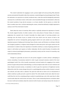The creator's motivation for engaging in such a process might well seem puzzling. Why stimulate anxiety and potential discomfort rather than maintain a steady biological and psychological state? Partly, the motivation is to experience an alerted, awakened state, a state that could be biologically particularly necessary for an individual creator. As this state is also transmitted through and stimulated in others by the creator's products, it may also be necessary—or, at least, valuable—for the species as a whole. But there is another more clear- cutfactor motivating the creator, a factor that definitely is highly importantto society as well. This is the factor of *control.*

Much about the nature of creativity either tacitly or explicitly indicates the importance of control. The clearly magical function of artistic creation in the early phases of human history, for instance, emphasizes the essential role of control. Invariably, the subject matter of surviving primitive cave drawings were the beasts of prey or animals of the hunt which were the sources of food or the competitors for survival. Consequently, gaining magical control over such animals was very likely an important purpose of making such drawings. Dance, theatre, music, and literature as well grew directly out of magical, prophetic, or religious rituals designed to evoke some power and to gain control over the environment. In modern times, the importance of scientific creativity as a means of gaining control over nature is self-evident and requires no further elaboration. But the control function of creativity with respect to internal psychological phenomena, particularly anxiety and the reversal of censorship, may not be immediately obvious.

Though he is generally not aware of it, the person engaged in creative activity is attempting to reverse censorship of unconscious material in order to gain increased conscious control of his inner psychological world. One of the (usually unconscious) universal motives for engaging in the creative process is to gain some personal understanding, or, atleast, to impose some order on inner confusion and chaos. Despite increased anxiety, or sometimes in order to gain the experience of heightened anxiety followed by relief, the creator plunges forward in a psychologically perilous activity. Anxiety is aroused and reduced, and some order is attained. The quest for truth that we know to be so characteristic of artistic creativity is partly just such a quest for control. The artist actually reveals more about his inner world than the rest of us, excepting perhaps a patient in psychotherapy, and, at the same time, he often reveals truths about the world of men and nature. There is some relationship between revelations about his inner world and revelations about the external world of nature and society, because the structure of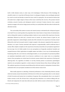truth in both domains seems, in some ways, to be homologous. Partly because of this homology, the scientific creator is, in ways that will become clearer in subsequent chapters, also unwittingly motivated by a need to reveal and thereby to control his inner world. In saying this, I do not intend to declare that all creators have a higher degree of chaos in their inner world than the rest of us. The pressure toward revelation, arousal of anxiety, and subsequent control is universal. Creators, however, have a greater capacity to engage in the mirror-image process and they are usually better able than others to tolerate the attendant anxiety.

The universality of the motive to arouse and control anxiety is indicated by the widespread appeal of art itself. No one would question the proposition that a basic feature of many forms of entertainment, such as riding roller coasters or watching acrobats or stock car racers, consists of the experience of anxiety stimulation followed by relief and a renewed sense of control. An intrinsic feature of good art, not generally recognized or acknowledged, consists also of the induction of an experience of anxiety arousal followed by relief and increased control. A simple example is the pleasure engendered by suspense in literature, or in music. Tension associated with suspense is unquestionably a mild to moderate form of anxiety. More complex examples are the experiences of anxiety aroused by new perceptions engendered by every type of art. In fields outside of art, new perceptions are frequently considered valuable and accepted because of their applications to tangible matters and affairs. A new way of understanding the functioning of the cell, a new twist on a technological matter, or a new perception of a personnel problem are sometimes immediately useful. In art, however, usefulness is not a major value or an immediate concern. New perceptions are valued more for intrinsic reasons related to the experience of having and attaining them. Yet, regardless of whether or not they directly pertain to unconscious psychological material, new perceptions engender a certain amount of anxiety because they always challenge habit. The aesthetic experience of anxiety arousal followed by relief and control or anticipation of control when confronted with a new perception constitutes one of the intrinsic values of art.

Most readily apparent in attending a theatrical performance is this relationship between anxiety relief and anxiety arousal characteristic of all forms of art. At the end of a good play, there is a fair amount of relief of anxiety and tension due to resolution of suspense. But, concomitantly, there is an arousal of further anxiety as well. We all know that a really good play stimulates us to continue talking with our friends and companions for some time afterward and, after talk has ceased, to think about it for quite a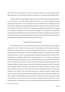while. While this has something to do with the intellectual content of the play, emotional factors significantly enter in. We are somewhat shaken up and anxious in our intrigued and thoughtful state.<sup>[35](#page-25-7)</sup>

Of course, many other factors besides anxiety arousal are involved in the social value and appeal of art. But saying this, I now shall rapidly culminate this outline of the obverse relationship between creativity and dreaming, for I have brought matters into the relativistic realm of sociology, the realm where absolute assertions are quickly challenged with counter examples and where the observer himself is inevitably biased by his own cultural view. Though many professionals have been able to overcome this, the problem is especially acute with respect to the sociology of art. Consequently, I shall state only the most glaring and global social level antitheses between creativity and dreaming, because they appear so self-evident and because they follow from and, in reciprocal and circular fashion, also help determine the psychological and biological circumstances I have mentioned so far.

#### <span id="page-20-1"></span>**Creativity and Dreaming in Society**

<span id="page-20-0"></span>With respect to social value and to communication, creativity and dreaming tend to be at opposite poles. Earlier, when I stressed the enormous aura of value associated with the topic of creativity, I anticipated no contradiction from even the most skeptical sources. The term "creative" is so heavily embued with positive value that it is virtually synonymous with "good" or "worthwhile" and, in virtually all societies, the term "creation" is almost synonymous with positive achievement. No such social value is universally and consistently conferred upon dreaming, however. In ancient times, of course, and sporadically among various groups up to the present day, dreams have been considered portents of the future or directives from a deity. But even when such beliefs are held, they seldom confer a specific value to dreaming. Most often, special persons in the society are considered to be endowed with the capacity to receive prophetic and divine dreams, or, like Joseph, specially able to interpret the meaning of such dreams. Dreaming is only one of a series of mental phenomena, including hallucinations and telepathy, considered to be endowed with such special properties. In rationally oriented, so-called civilized societies, interest in dreams has generally been relegated to the realm of superstition, astrology, and other derogated orientations. While creativity has been accorded high esteem in such societies, dreams have often been on the reverse end of the continuum. The general social viewpoint, even in these societies, has been an ambivalent one, of course, just as the general social viewpoint about creativity has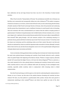been ambivalent, but by and large dreams have been very low in the hierarchy of valued mental activities.

<span id="page-21-0"></span>When Freud wrote the "Interpretation of Dreams," the predominant scientific view of dreams was that they were nonsensical and consequently without any value whatsoever.<sup>[36](#page-25-8)</sup> The modern resurgence of interest in dreams is, as we know, a direct result of Freud's work, as well as that of Jung. But the history of hostile rejection of both Freud's and Jung's theories of dreams, when first presented and continuing into the present day, demonstrates in part a traditional reluctance to accord special value to dreaming. That such reluctance still exists is demonstrated by an instance from the modern everyday practice of psychoanalysis. Practitioners of psychoanalysis, that veritable bastion of dream valuation, have, in recent years, begun to de- emphasize dream analysis because patients find ittoo easy to abjure responsibility for their dreams.<sup>[37](#page-26-0)</sup> After going through a full and extensive analysis of the underlying meaning of a particular dream, patients still find it relatively easy to insist"but it was just a dream." Or else they insist the dream was involuntary and the underlying wishes out of their control. My point is not that such denials are motivated by a desire to avoid the important truths concealed in dreams, although I certainly believe that to be the case, but that dream denigration occurs even in the psychoanalytic setting because of deeply imbued social conventions and beliefs.

<span id="page-21-2"></span><span id="page-21-1"></span>I have no intention of being polemical about according value to dreams, but I intend only to describe the social value polarity between dreaming and creativity. Freud directly referred to such a polarity when he quoted Virgil at the beginning of his book on dreams, "Flectere si nequeo superos, acheronta movebo" [If I cannot bend the Higher Powers, I will move the Infernal Regions].<sup>[38](#page-26-1)</sup> There is, moreover, a clear social rationale for the value polarity between dreaming and creativity: dreams tend to conceal, while creativity tends to reveal and to elaborate both truth and meaning. In more sociological terms, creativity, especially artistic creativity, tends to communicate while dreaming tends to distort communication.

<span id="page-21-3"></span>Now that Freud (and Jung as well) has given us the tools for understanding the communication in dreams, we can, of course, say that some of the polarity between dreaming and creativity has been reduced. We know, too, that patients in psychoanalysis often produce dreams that seem geared to communicate something to their analyst. $39$  Kanzer and others have spelled out some of the other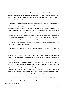<span id="page-22-0"></span>communication functions of dreams. $^{40}$  $^{40}$  $^{40}$  But, as Kanzer cogently points out, dreaming is the quintessential narcissistic psychological activity. Regardless of the skills of the analyst or the interpreter of dreams, dreams function primarily to keep the dreamer at rest by concealing truth and meaning from the dreamer and from other people.

Creativity communicates in many ways and on many levels at once. Even art that is very difficult to understand, or is supposedly produced for art's sake alone, has important communication aspects. Difficult art is directed at some audience, even if only a potential one, and it communicates values, emotions, complicated ideas, and, frequently, new and unprecedented principles and forms. Art produced for the artist's own sake, if there really is such a type, that is, artproduced without any concern whatsoever for an audience, is either a kind of communication to the self, a personal externalization having high communication potential for others, or, despite the art-for-art's-sake artist's disclaimer, it is intended as a communication to future generations. Scientific creations must be communicated to others, and the scientists' creative thinking is so geared to a rational, communicative context it seems, in a broad way, to be the extreme antithesis of dreams.

Creativity as the mirror image of dreaming means that creativity has both social and personal value. By reversing the censorship in dreaming, the creator is engaging in an attempt to unearth unconscious material, and he is embarking on a process of gaining insight and understanding about himself, albeit in a limited way. He is also experiencing arousal and anxiety. By reversing the censorship in dreaming and by the use of the mirror-image processes involved in creating, he reveals truths in a structured and organized way. Especially important in artistic creativity, this organization and structuring of inner truth also plays a significant role in scientific creativity. Creative thoughts in science are deeply emotionally gratifying to a scientist and scientific creations often have distinct aesthetic qualities of economy and elegance. These emotional gratifications and aesthetic qualities, as well as some aspects of the practical achievement, have roots in the mirror-image-of-dreaming processes. While engaged in the creative process, the scientist uses a daring and orderly type of thought; as a mirror-image process, this thought is extremely disparate in orderliness but matched in daring with the thinking in dreams.

As the mirror image of dreaming, creativity is one of the highest, if not the highest, kind of adaptive mental process. It is not regressive, irrational, a concrete type of thinking, or even a radically altered state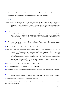of consciousness. The creator, in full consciousness, purposefully attempts to produce the most socially valuable products possible and he uses the highest mental function he possesses.

#### *Notes*

- <span id="page-23-0"></span>[1](#page-4-2) If creations are considered to be entities that are truly new, i.e., radically different from any antecedents, their appearance is an intrinsic mystery, i.e., it cannot be explained. Explanation implies prediction and, as the truly new is unprecedented and therefore unpredictable, it cannot be explained. See C. R. Hausman, *A Discourse on Novelty and Creation* (The Hague: Martinus Nijhoff, 1975); for a review of others arguing similar positions and a critique, see Rothenberg and Hausman, *Creativity Question,* pp. 3- 26; also see chap. 12 below.
- <span id="page-23-1"></span>[2](#page-4-3) V. G. Hopwood, "Dream, Magic and Poetry," *Journal of Aesthetics and Art Criticism* 10 (1951—52) :152.
- <span id="page-23-2"></span>[3](#page-5-0) See references to Blake and Coleridge in P. Bartlett, *Poems in Process* (Oxford: Oxford University Press, 1951). Also see Novalis, *Schriften* (1798); J. P. Richter, "Uber die naturliche Magie der Einbildungskraft," *Leben des Quintus Fixlein, Samtliche Wake,* 33 vols. (G. Reimer, 1840), 3:235 ff.; F. Nietzsche, *The Will to Power,* trans. and ed. W. Kaufman and trans. R. J. Hollingdale (New York: Random House, 1967), pp. 419-53, 539-43.
- <span id="page-23-3"></span>[4](#page-5-1) Throughout this book, I shall refer to and discuss primary process thinking as defined by Sigmund Freud in chap. 7 of "The Interpretation of Dreams" (1900). See also D. Rapaport, *Organization and Pathology of Thought: Selected Sources* (New York: Columbia University Press, 1951), for an analysis and appraisal of primary process thinking.
- <span id="page-23-4"></span>[5](#page-5-2) M. Bonaparte, *The Life and Works of Edgar Allan Poe* (London: Imago,1949), p. 651.
- <span id="page-23-5"></span>[6](#page-5-3) Famous examples are E. Jones, *Hamlet and Oedipus* (New York: Norton, 1949; rev. ed., New York: Doubleday, 1954); H. Sachs, *The Creative Unconscious* (Cambridge, Mass.: Sci-Art Publishers, 1942, 1951); D. Schneider, *The Psychoanalyst and the Artist* (New York: International Universities Press, 1950). One of the earliest literary critics to develop a theory of poetry as analogous to dreams was F. C. Prescott (see *Poetry and Dreams* [Boston: Four Seasons, 1912]). Recent literary critics have modified Prescott's position and have produced some interesting works of criticism (see F. C. Crews, *The Sins of the Fathers: Hawthorne's Psychological Themes* [New York: Oxford University Press, 1966); S. Lesser, *Fiction and the Unconscious* [Boston: Beacon Press, 1957]; N. Holland, *Psychoanalysis and Shakespeare* [New York: McGraw-Hill, 1964, 1966]). For a comprehensive bibliography of scientific writings on art and artists, many of which treat the work of art as analogous to the dream, see Rothenberg and Greenberg, *Index: Creative Men and Women.*
- <span id="page-23-6"></span>[7](#page-5-4) S. Freud, "Creative Writers and Daydreaming" (1908 [1907]) (London, 1960), 9:143-53.
- <span id="page-23-7"></span>[8](#page-5-5) S. Freud, "Jokes and Their Relation to the Unconscious" (1905) (London, 1961), vol. 8.
- <span id="page-23-8"></span>[9](#page-6-0) His basic position, from which he never really strayed, is famously summed up as follows: "Before the problem of the creative artist, analysis must, alas, lay down its arms" (S. Freud, "Dostoevsky and Parricide" [1928 (1927)] [London, 1961], 21:177).
- <span id="page-23-9"></span>[10](#page-6-1) See E. Kris, "The Psychology of Caricature," for the first use of the term, and "On Inspiration" and "On Preconscious Mental Processes" for detailed elaborations; all are in his *Psychoanalytic Explorations in Art* (New York: International Universities Press, 1952).
- <span id="page-23-10"></span>[11](#page-6-2) M. Graf, *From Beethoven to Shostakovich* (New York: Philosophical Library, 1947).
- <span id="page-23-11"></span>[12](#page-7-0) J. J. Montmasson gave dreaming an important role in imaginative work of any kind, including that of science (*Invention and the*

www.freepsy chotherapy books.org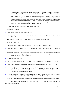*Unconscious,* trans. H. S. Hatfield [New York: Harcourt Brace, 1932], pp. 43 ff. W. B. Cannon reported that a great discovery by the Nobel Prize winner, Otto Loewi, apparently occurred in a dream *(The Way of an Investigator* [New York: Norton, 1945], p. 60.) Kekule's discovery of the structure of the benzene ring is usually also cited as an instance of a scientific breakthrough resulting from a dream. Although Kekule himself used the term "dream" *(Traum)* in admonishing his colleagues to creative thinking, the full context and correct translation of his remarks requires some significant modification of the traditional interpretation of his account (for references and further discussion, see n. 13, chap. 5 below). The misconception about Kekule's account has an important bearing on the point I am making here. His report of the discovery of the benzene ring does bear out that there is a similarity between dream process and creative thinking, but the obverse factor—the mirror-image relationship—has not previously been considered or recognized.

- <span id="page-24-0"></span>[13](#page-7-1) H. Poincare, *Science and Method,* trans. F. Maitland (New York: Dover Press, 1952).
- <span id="page-24-1"></span>[14](#page-7-2) Cannon, *Way of an Investigator.*
- <span id="page-24-2"></span>[15](#page-8-0) G. Wallas, *The Art of Thought* (New York: Harcourt, Brace, 1926).
- <span id="page-24-3"></span>[16](#page-8-1) Plato, *The Ion,* trans. Lane Cooper, ed. E. Hamilton and H. Cairns, in *Plato: The Collected Dialogues* (New York: Bollingen Foundation, 1961), p. 220.
- <span id="page-24-4"></span>[17](#page-8-2) I. Kant, *The Critique of Judgment,* trans. J. C. Meredith (London: Oxford University Press, 1952), esp. pp. 188 ff.
- <span id="page-24-5"></span>[18](#page-9-1) Nietzsche, *Will to Power,* pp. 420 ff.
- <span id="page-24-6"></span>[19](#page-9-2) B. Blanshard, *The Nature of Thought* (Atlantic Highlands, N. J.: Humanities Press, 1964), vols. 1 and 2, esp. 2:166-211.
- <span id="page-24-7"></span>[20](#page-9-3) In this section I shall continue to discuss artistic creativity as the general model; creativity in science and other fields will be considered later.
- [21](#page-4-0) According to the classical formulation of primary process thinking, it occurs in infants prior to the development of reality testing and other ego functions. It is designated as "primary" because it is first in the human developmental sequence. Consequently, it is identified as an early or primitive mode of cognition.
- <span id="page-24-8"></span>[22](#page-12-0) Kris, *Psychoanalytic Explorations, p. 312.*
- <span id="page-24-9"></span>[23](#page-12-1) P. Noy, "A Revision of the Psychoanalytic Theory of the Primary Process," *International Journal of Psychoanalysis* 50 (1969): 155—78.
- <span id="page-24-10"></span>[24](#page-12-2) G. J. Rose, "Creative Imagination in Terms of Ego 'Core' and Boundaries," *International Journal of Psychoanalysis* 45 (1964) :75-84.
- <span id="page-24-11"></span>[25](#page-12-3) See D. W. Winnicott, "Transitional Objects and Transitional Phenomena" (1951), in his *Collected Papers* (New York: Basic Books, 1958); A. H. Modell, "The Transitional Object and the Creative Act," *Psychoanalytic Quarterly* 39 (1970):240—50; W. Muensterberger, "The Creative Process: Its Relation to Object Loss and Fetishism," in *Psychoanalytic Study of Society* (New York: International Universities Press, 1962), 2:161-85.
- <span id="page-24-12"></span>[26](#page-12-4) S. Arieti, *The Intrapsychic Self: Feeling, Cognition and Creativity in Health and Mental Illness* (New York: Basic Books, 1967). Also see more recently, Arieti, *Creativity: The Magic Synthesis* (New York: Basic Books, 1976), esp. p. 12.
- <span id="page-24-13"></span>[27](#page-13-0) For Freud, fully coherent linguistic statements and constructs were converted by means of primary process operations into the disrupted, incoherent visual representations in dreams. See J. G. Schimek, "A Critical Reexamination of Freud's Concept of Unconscious Mental Representation," *International Review of Psycho-analysis* 2 (1975) :171—87, for an excellent critique, based on

www.freepsy chotherapy books.org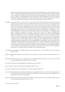information from developmental psychology, of this aspect of Freud's formulation of primary process operation. See also, M. Edel- son, "Language and Dreams: The Interpretation of Dreams Revisited," *Psychoanalytic Study of the Child* 27 (1972):203- 82, for a discussion of the analogies between Freud's dream theory and the linguistic theory of Noam Chomsky. Some years ago, at a conference at Austen Riggs Center in Stock- bridge, Mass., Erik Erikson pointed out that Freud's method of psychoanalysis contained a significant element of bias against visual perception and thought: asking the patient to lie on a couch where he and the analyst could not see each other's faces denied the importance of the visual mode.

- <span id="page-25-0"></span>[28](#page-14-1) Though some will argue that dreams reveal as well as conceal, the primary thrust is toward censorship. All representations, including symbols of any type, could be said to have a double nature and to reveal as well as conceal. From the perspective of psychological function, however, the relative degree of the two factors of revelation and concealment is absolutely critical. The fact of a thrust toward censorship follows from Freud's discovery that the function of dreams is to keep the dreamer asleep,- wishes are expressed in censored form. This discovery has not been superceded or overturned (see Freud, "The Interpretation of Dreams"; W. Dement, "The Biological Role in REM Sleep," in *Sleep Physiology and Pathology,* ed. A. Kales [Philadelphia: Lippincott, 1969], pp. 245-65; J. G. Salamy, "Sleep: Some Concepts and Constructs," in *Pharmacology of Sleep,* eds. R. L. Williams and I. Karacan [New York: Wiley, 1976], pp. 53-82). A recent erudite attempt at challenging the wish fulfillment and disguise principles from a neurobiological viewpoint (R. W. McCarly and J. A. Hobson, "The Neurobiological Orgins of Psychoanalytic Dream Theory," *American Journal of Psychiatry* 134 [1977] :1211-21; and Hobson and McCarley, "The Brain as a Dream State Generator: An Activation- Synthesis Hypothesis of the Dream Process," *American Journal of Psychiatry* 134 [1977] :1335-48) is unsuccessful because it fails to take the guardian of sleep discovery adequately into consideration. Moreover, in their emphasis on patterns of neuronal generation as responsible for dreams, the authors do not adequately explain their postulated interaction between neurophysiological and psychological effects. They state that there is an integration of "disparate sensory, motor and emotional elements via condensation, displacement and symbol formation" (p. 1346), but outside of postulating a mysterious isomorphism with the "state of the nervous system during dreaming sleep" (p. 1347), they do not explain why the particular mechanisms of condensation, displacement, and symbol formation function at all. This challenge to psychoanalytic dream theory therefore comes back full circle to rely on the basic contribution of psychoanalysis, i.e., explication of the dream mechanisms, to the understanding of dreams.
- <span id="page-25-1"></span>[29](#page-14-2) Recognizing that psychological and biological functions are not necessarily distinct, I make the distinction here for the purpose of expository clarity.
- <span id="page-25-2"></span>[30](#page-14-3) Dement, "Biological Role of REM Sleep," pp. 245-65. For a recent assessment see Salamy, "Sleep: Some Concepts and Constructs," pp. 71-73.
- <span id="page-25-3"></span>[31](#page-16-0) Throughout this book I shall use the term "unearthing" to refer to bringing unconscious material *close or closer* to awareness without necessarily bringing this material directly or fully into awareness.
- <span id="page-25-4"></span>[32](#page-16-1) D. E. Berlyne, *Aesthetics and Psychobiology* (New York: Appleton, Century, Crofts, 1971).
- <span id="page-25-5"></span>[33](#page-17-1) See C. Darwin, *The Descent of Man,* 2d ed. (New York: Appleton, 1892), esp. chap. 3.
- <span id="page-25-6"></span>[34](#page-17-2) S. Freud, "Introductory Lectures on Psychoanalysis, Part III" (1916-17) (London, 1964), 16:377.
- <span id="page-25-7"></span>[35](#page-20-1) Some may see this explanation as the traditional Aristotelian one emphasizing pity and terror. To set the record straight, the factor of anxiety arousal and resolution is more complicated and, very likely, also more basic than pity and terror together. For one thing, anxiety arousal enters into both emotions.
- <span id="page-25-8"></span>[36](#page-21-0) Freud quoted the common expression *Trdume sind Schimme* (dreams are froth) as representative of the scientific viewpoint of that and earlier times (Freud, "Interpretation of Dreams," p. 133).